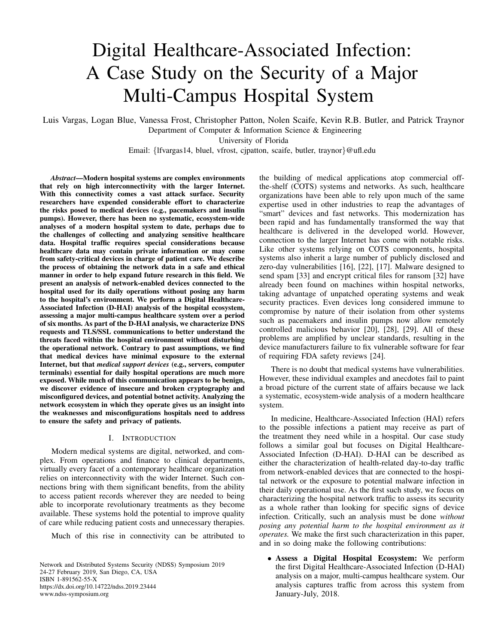# Digital Healthcare-Associated Infection: A Case Study on the Security of a Major Multi-Campus Hospital System

Luis Vargas, Logan Blue, Vanessa Frost, Christopher Patton, Nolen Scaife, Kevin R.B. Butler, and Patrick Traynor Department of Computer & Information Science & Engineering

University of Florida

Email: {lfvargas14, bluel, vfrost, cjpatton, scaife, butler, traynor}@ufl.edu

*Abstract*—Modern hospital systems are complex environments that rely on high interconnectivity with the larger Internet. With this connectivity comes a vast attack surface. Security researchers have expended considerable effort to characterize the risks posed to medical devices (e.g., pacemakers and insulin pumps). However, there has been no systematic, ecosystem-wide analyses of a modern hospital system to date, perhaps due to the challenges of collecting and analyzing sensitive healthcare data. Hospital traffic requires special considerations because healthcare data may contain private information or may come from safety-critical devices in charge of patient care. We describe the process of obtaining the network data in a safe and ethical manner in order to help expand future research in this field. We present an analysis of network-enabled devices connected to the hospital used for its daily operations without posing any harm to the hospital's environment. We perform a Digital Healthcare-Associated Infection (D-HAI) analysis of the hospital ecosystem, assessing a major multi-campus healthcare system over a period of six months. As part of the D-HAI analysis, we characterize DNS requests and TLS/SSL communications to better understand the threats faced within the hospital environment without disturbing the operational network. Contrary to past assumptions, we find that medical devices have minimal exposure to the external Internet, but that *medical support devices* (e.g., servers, computer terminals) essential for daily hospital operations are much more exposed. While much of this communication appears to be benign, we discover evidence of insecure and broken cryptography and misconfigured devices, and potential botnet activity. Analyzing the network ecosystem in which they operate gives us an insight into the weaknesses and misconfigurations hospitals need to address to ensure the safety and privacy of patients.

## I. INTRODUCTION

Modern medical systems are digital, networked, and complex. From operations and finance to clinical departments, virtually every facet of a contemporary healthcare organization relies on interconnectivity with the wider Internet. Such connections bring with them significant benefits, from the ability to access patient records wherever they are needed to being able to incorporate revolutionary treatments as they become available. These systems hold the potential to improve quality of care while reducing patient costs and unnecessary therapies.

Much of this rise in connectivity can be attributed to

Network and Distributed Systems Security (NDSS) Symposium 2019 24-27 February 2019, San Diego, CA, USA ISBN 1-891562-55-X <https://dx.doi.org/10.14722/ndss.2019.23444> www.ndss-symposium.org

the building of medical applications atop commercial offthe-shelf (COTS) systems and networks. As such, healthcare organizations have been able to rely upon much of the same expertise used in other industries to reap the advantages of "smart" devices and fast networks. This modernization has been rapid and has fundamentally transformed the way that healthcare is delivered in the developed world. However, connection to the larger Internet has come with notable risks. Like other systems relying on COTS components, hospital systems also inherit a large number of publicly disclosed and zero-day vulnerabilities [16], [22], [17]. Malware designed to send spam [33] and encrypt critical files for ransom [32] have already been found on machines within hospital networks, taking advantage of unpatched operating systems and weak security practices. Even devices long considered immune to compromise by nature of their isolation from other systems such as pacemakers and insulin pumps now allow remotely controlled malicious behavior [20], [28], [29]. All of these problems are amplified by unclear standards, resulting in the device manufacturers failure to fix vulnerable software for fear of requiring FDA safety reviews [24].

There is no doubt that medical systems have vulnerabilities. However, these individual examples and anecdotes fail to paint a broad picture of the current state of affairs because we lack a systematic, ecosystem-wide analysis of a modern healthcare system.

In medicine, Healthcare-Associated Infection (HAI) refers to the possible infections a patient may receive as part of the treatment they need while in a hospital. Our case study follows a similar goal but focuses on Digital Healthcare-Associated Infection (D-HAI). D-HAI can be described as either the characterization of health-related day-to-day traffic from network-enabled devices that are connected to the hospital network or the exposure to potential malware infection in their daily operational use. As the first such study, we focus on characterizing the hospital network traffic to assess its security as a whole rather than looking for specific signs of device infection. Critically, such an analysis must be done *without posing any potential harm to the hospital environment as it operates.* We make the first such characterization in this paper, and in so doing make the following contributions:

• Assess a Digital Hospital Ecosystem: We perform the first Digital Healthcare-Associated Infection (D-HAI) analysis on a major, multi-campus healthcare system. Our analysis captures traffic from across this system from January-July, 2018.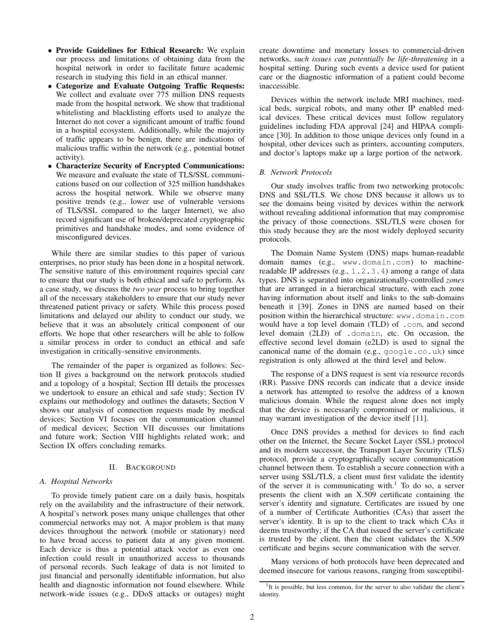- Provide Guidelines for Ethical Research: We explain our process and limitations of obtaining data from the hospital network in order to facilitate future academic research in studying this field in an ethical manner.
- Categorize and Evaluate Outgoing Traffic Requests: We collect and evaluate over 775 million DNS requests made from the hospital network. We show that traditional whitelisting and blacklisting efforts used to analyze the Internet do not cover a significant amount of traffic found in a hospital ecosystem. Additionally, while the majority of traffic appears to be benign, there are indications of malicious traffic within the network (e.g., potential botnet activity).
- Characterize Security of Encrypted Communications: We measure and evaluate the state of TLS/SSL communications based on our collection of 325 million handshakes across the hospital network. While we observe many positive trends (e.g., lower use of vulnerable versions of TLS/SSL compared to the larger Internet), we also record significant use of broken/deprecated cryptographic primitives and handshake modes, and some evidence of misconfigured devices.

While there are similar studies to this paper of various enterprises, no prior study has been done in a hospital network. The sensitive nature of this environment requires special care to ensure that our study is both ethical and safe to perform. As a case study, we discuss the *two year* process to bring together all of the necessary stakeholders to ensure that our study never threatened patient privacy or safety. While this process posed limitations and delayed our ability to conduct our study, we believe that it was an absolutely critical component of our efforts. We hope that other researchers will be able to follow a similar process in order to conduct an ethical and safe investigation in critically-sensitive environments.

The remainder of the paper is organized as follows: Section II gives a background on the network protocols studied and a topology of a hospital; Section III details the processes we undertook to ensure an ethical and safe study; Section IV explains our methodology and outlines the datasets; Section V shows our analysis of connection requests made by medical devices; Section VI focuses on the communication channel of medical devices; Section VII discusses our limitations and future work; Section VIII highlights related work; and Section IX offers concluding remarks.

## II. BACKGROUND

#### *A. Hospital Networks*

To provide timely patient care on a daily basis, hospitals rely on the availability and the infrastructure of their network. A hospital's network poses many unique challenges that other commercial networks may not. A major problem is that many devices throughout the network (mobile or stationary) need to have broad access to patient data at any given moment. Each device is thus a potential attack vector as even one infection could result in unauthorized access to thousands of personal records. Such leakage of data is not limited to just financial and personally identifiable information, but also health and diagnostic information not found elsewhere. While network-wide issues (e.g., DDoS attacks or outages) might create downtime and monetary losses to commercial-driven networks, *such issues can potentially be life-threatening* in a hospital setting. During such events a device used for patient care or the diagnostic information of a patient could become inaccessible.

Devices within the network include MRI machines, medical beds, surgical robots, and many other IP enabled medical devices. These critical devices must follow regulatory guidelines including FDA approval [24] and HIPAA compliance [30]. In addition to those unique devices only found in a hospital, other devices such as printers, accounting computers, and doctor's laptops make up a large portion of the network.

#### *B. Network Protocols*

Our study involves traffic from two networking protocols: DNS and SSL/TLS. We chose DNS because it allows us to see the domains being visited by devices within the network without revealing additional information that may compromise the privacy of those connections. SSL/TLS were chosen for this study because they are the most widely deployed security protocols.

The Domain Name System (DNS) maps human-readable domain names (e.g., www.domain.com) to machinereadable IP addresses (e.g., 1.2.3.4) among a range of data types. DNS is separated into organizationally-controlled *zones* that are arranged in a hierarchical structure, with each zone having information about itself and links to the sub-domains beneath it [39]. Zones in DNS are named based on their position within the hierarchical structure: www.domain.com would have a top level domain (TLD) of .com, and second level domain (2LD) of .domain, etc. On occasion, the effective second level domain (e2LD) is used to signal the canonical name of the domain (e.g., google.co.uk) since registration is only allowed at the third level and below.

The response of a DNS request is sent via resource records (RR). Passive DNS records can indicate that a device inside a network has attempted to resolve the address of a known malicious domain. While the request alone does not imply that the device is necessarily compromised or malicious, it may warrant investigation of the device itself [11].

Once DNS provides a method for devices to find each other on the Internet, the Secure Socket Layer (SSL) protocol and its modern successor, the Transport Layer Security (TLS) protocol, provide a cryptographically secure communication channel between them. To establish a secure connection with a server using SSL/TLS, a client must first validate the identity of the server it is communicating with.<sup>1</sup> To do so, a server presents the client with an X.509 certificate containing the server's identity and signature. Certificates are issued by one of a number of Certificate Authorities (CAs) that assert the server's identity. It is up to the client to track which CAs it deems trustworthy; if the CA that issued the server's certificate is trusted by the client, then the client validates the X.509 certificate and begins secure communication with the server.

Many versions of both protocols have been deprecated and deemed insecure for various reasons, ranging from susceptibil-

<sup>&</sup>lt;sup>1</sup>It is possible, but less common, for the server to also validate the client's identity.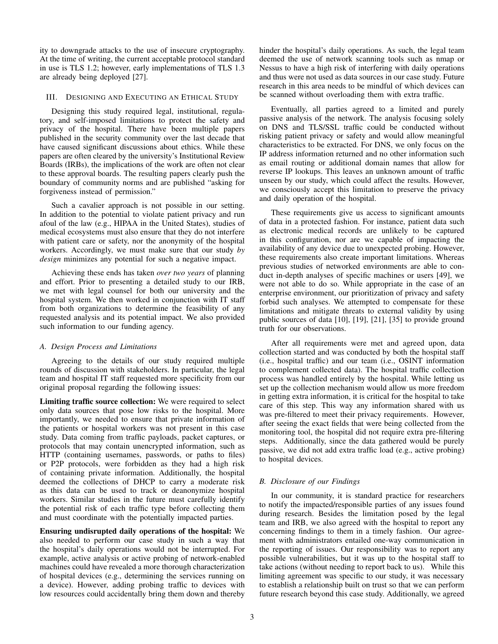ity to downgrade attacks to the use of insecure cryptography. At the time of writing, the current acceptable protocol standard in use is TLS 1.2; however, early implementations of TLS 1.3 are already being deployed [27].

#### III. DESIGNING AND EXECUTING AN ETHICAL STUDY

Designing this study required legal, institutional, regulatory, and self-imposed limitations to protect the safety and privacy of the hospital. There have been multiple papers published in the security community over the last decade that have caused significant discussions about ethics. While these papers are often cleared by the university's Institutional Review Boards (IRBs), the implications of the work are often not clear to these approval boards. The resulting papers clearly push the boundary of community norms and are published "asking for forgiveness instead of permission."

Such a cavalier approach is not possible in our setting. In addition to the potential to violate patient privacy and run afoul of the law (e.g., HIPAA in the United States), studies of medical ecosystems must also ensure that they do not interfere with patient care or safety, nor the anonymity of the hospital workers. Accordingly, we must make sure that our study *by design* minimizes any potential for such a negative impact.

Achieving these ends has taken *over two years* of planning and effort. Prior to presenting a detailed study to our IRB, we met with legal counsel for both our university and the hospital system. We then worked in conjunction with IT staff from both organizations to determine the feasibility of any requested analysis and its potential impact. We also provided such information to our funding agency.

#### *A. Design Process and Limitations*

Agreeing to the details of our study required multiple rounds of discussion with stakeholders. In particular, the legal team and hospital IT staff requested more specificity from our original proposal regarding the following issues:

Limiting traffic source collection: We were required to select only data sources that pose low risks to the hospital. More importantly, we needed to ensure that private information of the patients or hospital workers was not present in this case study. Data coming from traffic payloads, packet captures, or protocols that may contain unencrypted information, such as HTTP (containing usernames, passwords, or paths to files) or P2P protocols, were forbidden as they had a high risk of containing private information. Additionally, the hospital deemed the collections of DHCP to carry a moderate risk as this data can be used to track or deanonymize hospital workers. Similar studies in the future must carefully identify the potential risk of each traffic type before collecting them and must coordinate with the potentially impacted parties.

Ensuring undisrupted daily operations of the hospital: We also needed to perform our case study in such a way that the hospital's daily operations would not be interrupted. For example, active analysis or active probing of network-enabled machines could have revealed a more thorough characterization of hospital devices (e.g., determining the services running on a device). However, adding probing traffic to devices with low resources could accidentally bring them down and thereby hinder the hospital's daily operations. As such, the legal team deemed the use of network scanning tools such as nmap or Nessus to have a high risk of interfering with daily operations and thus were not used as data sources in our case study. Future research in this area needs to be mindful of which devices can be scanned without overloading them with extra traffic.

Eventually, all parties agreed to a limited and purely passive analysis of the network. The analysis focusing solely on DNS and TLS/SSL traffic could be conducted without risking patient privacy or safety and would allow meaningful characteristics to be extracted. For DNS, we only focus on the IP address information returned and no other information such as email routing or additional domain names that allow for reverse IP lookups. This leaves an unknown amount of traffic unseen by our study, which could affect the results. However, we consciously accept this limitation to preserve the privacy and daily operation of the hospital.

These requirements give us access to significant amounts of data in a protected fashion. For instance, patient data such as electronic medical records are unlikely to be captured in this configuration, nor are we capable of impacting the availability of any device due to unexpected probing. However, these requirements also create important limitations. Whereas previous studies of networked environments are able to conduct in-depth analyses of specific machines or users [49], we were not able to do so. While appropriate in the case of an enterprise environment, our prioritization of privacy and safety forbid such analyses. We attempted to compensate for these limitations and mitigate threats to external validity by using public sources of data [10], [19], [21], [35] to provide ground truth for our observations.

After all requirements were met and agreed upon, data collection started and was conducted by both the hospital staff (i.e., hospital traffic) and our team (i.e., OSINT information to complement collected data). The hospital traffic collection process was handled entirely by the hospital. While letting us set up the collection mechanism would allow us more freedom in getting extra information, it is critical for the hospital to take care of this step. This way any information shared with us was pre-filtered to meet their privacy requirements. However, after seeing the exact fields that were being collected from the monitoring tool, the hospital did not require extra pre-filtering steps. Additionally, since the data gathered would be purely passive, we did not add extra traffic load (e.g., active probing) to hospital devices.

## *B. Disclosure of our Findings*

In our community, it is standard practice for researchers to notify the impacted/responsible parties of any issues found during research. Besides the limitation posed by the legal team and IRB, we also agreed with the hospital to report any concerning findings to them in a timely fashion. Our agreement with administrators entailed one-way communication in the reporting of issues. Our responsibility was to report any possible vulnerabilities, but it was up to the hospital staff to take actions (without needing to report back to us). While this limiting agreement was specific to our study, it was necessary to establish a relationship built on trust so that we can perform future research beyond this case study. Additionally, we agreed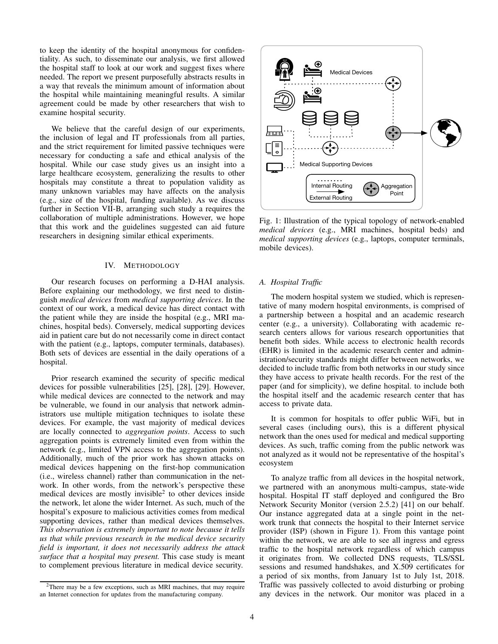to keep the identity of the hospital anonymous for confidentiality. As such, to disseminate our analysis, we first allowed the hospital staff to look at our work and suggest fixes where needed. The report we present purposefully abstracts results in a way that reveals the minimum amount of information about the hospital while maintaining meaningful results. A similar agreement could be made by other researchers that wish to examine hospital security.

We believe that the careful design of our experiments, the inclusion of legal and IT professionals from all parties, and the strict requirement for limited passive techniques were necessary for conducting a safe and ethical analysis of the hospital. While our case study gives us an insight into a large healthcare ecosystem, generalizing the results to other hospitals may constitute a threat to population validity as many unknown variables may have affects on the analysis (e.g., size of the hospital, funding available). As we discuss further in Section VII-B, arranging such study a requires the collaboration of multiple administrations. However, we hope that this work and the guidelines suggested can aid future researchers in designing similar ethical experiments.

#### IV. METHODOLOGY

Our research focuses on performing a D-HAI analysis. Before explaining our methodology, we first need to distinguish *medical devices* from *medical supporting devices*. In the context of our work, a medical device has direct contact with the patient while they are inside the hospital (e.g., MRI machines, hospital beds). Conversely, medical supporting devices aid in patient care but do not necessarily come in direct contact with the patient (e.g., laptops, computer terminals, databases). Both sets of devices are essential in the daily operations of a hospital.

Prior research examined the security of specific medical devices for possible vulnerabilities [25], [28], [29]. However, while medical devices are connected to the network and may be vulnerable, we found in our analysis that network administrators use multiple mitigation techniques to isolate these devices. For example, the vast majority of medical devices are locally connected to *aggregation points*. Access to such aggregation points is extremely limited even from within the network (e.g., limited VPN access to the aggregation points). Additionally, much of the prior work has shown attacks on medical devices happening on the first-hop communication (i.e., wireless channel) rather than communication in the network. In other words, from the network's perspective these medical devices are mostly invisible<sup>2</sup> to other devices inside the network, let alone the wider Internet. As such, much of the hospital's exposure to malicious activities comes from medical supporting devices, rather than medical devices themselves. *This observation is extremely important to note because it tells us that while previous research in the medical device security field is important, it does not necessarily address the attack surface that a hospital may present.* This case study is meant to complement previous literature in medical device security.



Fig. 1: Illustration of the typical topology of network-enabled *medical devices* (e.g., MRI machines, hospital beds) and *medical supporting devices* (e.g., laptops, computer terminals, mobile devices).

## *A. Hospital Traffic*

The modern hospital system we studied, which is representative of many modern hospital environments, is comprised of a partnership between a hospital and an academic research center (e.g., a university). Collaborating with academic research centers allows for various research opportunities that benefit both sides. While access to electronic health records (EHR) is limited in the academic research center and administration/security standards might differ between networks, we decided to include traffic from both networks in our study since they have access to private health records. For the rest of the paper (and for simplicity), we define hospital. to include both the hospital itself and the academic research center that has access to private data.

It is common for hospitals to offer public WiFi, but in several cases (including ours), this is a different physical network than the ones used for medical and medical supporting devices. As such, traffic coming from the public network was not analyzed as it would not be representative of the hospital's ecosystem

To analyze traffic from all devices in the hospital network, we partnered with an anonymous multi-campus, state-wide hospital. Hospital IT staff deployed and configured the Bro Network Security Monitor (version 2.5.2) [41] on our behalf. Our instance aggregated data at a single point in the network trunk that connects the hospital to their Internet service provider (ISP) (shown in Figure 1). From this vantage point within the network, we are able to see all ingress and egress traffic to the hospital network regardless of which campus it originates from. We collected DNS requests, TLS/SSL sessions and resumed handshakes, and X.509 certificates for a period of six months, from January 1st to July 1st, 2018. Traffic was passively collected to avoid disturbing or probing any devices in the network. Our monitor was placed in a

<sup>&</sup>lt;sup>2</sup>There may be a few exceptions, such as MRI machines, that may require an Internet connection for updates from the manufacturing company.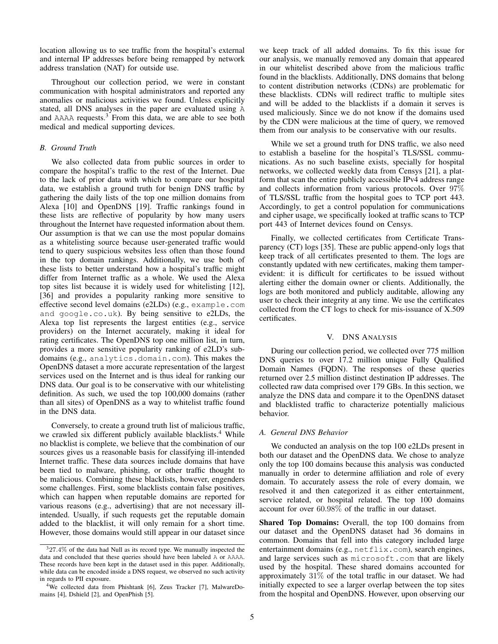location allowing us to see traffic from the hospital's external and internal IP addresses before being remapped by network address translation (NAT) for outside use.

Throughout our collection period, we were in constant communication with hospital administrators and reported any anomalies or malicious activities we found. Unless explicitly stated, all DNS analyses in the paper are evaluated using A and  $AAAA$  requests.<sup>3</sup> From this data, we are able to see both medical and medical supporting devices.

## *B. Ground Truth*

We also collected data from public sources in order to compare the hospital's traffic to the rest of the Internet. Due to the lack of prior data with which to compare our hospital data, we establish a ground truth for benign DNS traffic by gathering the daily lists of the top one million domains from Alexa [10] and OpenDNS [19]. Traffic rankings found in these lists are reflective of popularity by how many users throughout the Internet have requested information about them. Our assumption is that we can use the most popular domains as a whitelisting source because user-generated traffic would tend to query suspicious websites less often than those found in the top domain rankings. Additionally, we use both of these lists to better understand how a hospital's traffic might differ from Internet traffic as a whole. We used the Alexa top sites list because it is widely used for whitelisting [12], [36] and provides a popularity ranking more sensitive to effective second level domains (e2LDs) (e.g., example.com and google.co.uk). By being sensitive to e2LDs, the Alexa top list represents the largest entities (e.g., service providers) on the Internet accurately, making it ideal for rating certificates. The OpenDNS top one million list, in turn, provides a more sensitive popularity ranking of e2LD's subdomains (e.g., analytics.domain.com). This makes the OpenDNS dataset a more accurate representation of the largest services used on the Internet and is thus ideal for ranking our DNS data. Our goal is to be conservative with our whitelisting definition. As such, we used the top 100,000 domains (rather than all sites) of OpenDNS as a way to whitelist traffic found in the DNS data.

Conversely, to create a ground truth list of malicious traffic, we crawled six different publicly available blacklists.<sup>4</sup> While no blacklist is complete, we believe that the combination of our sources gives us a reasonable basis for classifying ill-intended Internet traffic. These data sources include domains that have been tied to malware, phishing, or other traffic thought to be malicious. Combining these blacklists, however, engenders some challenges. First, some blacklists contain false positives, which can happen when reputable domains are reported for various reasons (e.g., advertising) that are not necessary illintended. Usually, if such requests get the reputable domain added to the blacklist, it will only remain for a short time. However, those domains would still appear in our dataset since we keep track of all added domains. To fix this issue for our analysis, we manually removed any domain that appeared in our whitelist described above from the malicious traffic found in the blacklists. Additionally, DNS domains that belong to content distribution networks (CDNs) are problematic for these blacklists. CDNs will redirect traffic to multiple sites and will be added to the blacklists if a domain it serves is used maliciously. Since we do not know if the domains used by the CDN were malicious at the time of query, we removed them from our analysis to be conservative with our results.

While we set a ground truth for DNS traffic, we also need to establish a baseline for the hospital's TLS/SSL communications. As no such baseline exists, specially for hospital networks, we collected weekly data from Censys [21], a platform that scan the entire publicly accessible IPv4 address range and collects information from various protocols. Over 97% of TLS/SSL traffic from the hospital goes to TCP port 443. Accordingly, to get a control population for communications and cipher usage, we specifically looked at traffic scans to TCP port 443 of Internet devices found on Censys.

Finally, we collected certificates from Certificate Transparency (CT) logs [35]. These are public append-only logs that keep track of all certificates presented to them. The logs are constantly updated with new certificates, making them tamperevident: it is difficult for certificates to be issued without alerting either the domain owner or clients. Additionally, the logs are both monitored and publicly auditable, allowing any user to check their integrity at any time. We use the certificates collected from the CT logs to check for mis-issuance of X.509 certificates.

#### V. DNS ANALYSIS

During our collection period, we collected over 775 million DNS queries to over 17.2 million unique Fully Qualified Domain Names (FQDN). The responses of these queries returned over 2.5 million distinct destination IP addresses. The collected raw data comprised over 179 GBs. In this section, we analyze the DNS data and compare it to the OpenDNS dataset and blacklisted traffic to characterize potentially malicious behavior.

## *A. General DNS Behavior*

We conducted an analysis on the top 100 e2LDs present in both our dataset and the OpenDNS data. We chose to analyze only the top 100 domains because this analysis was conducted manually in order to determine affiliation and role of every domain. To accurately assess the role of every domain, we resolved it and then categorized it as either entertainment, service related, or hospital related. The top 100 domains account for over 60.98% of the traffic in our dataset.

Shared Top Domains: Overall, the top 100 domains from our dataset and the OpenDNS dataset had 36 domains in common. Domains that fell into this category included large entertainment domains (e.g., netflix.com), search engines, and large services such as microsoft.com that are likely used by the hospital. These shared domains accounted for approximately 31% of the total traffic in our dataset. We had initially expected to see a larger overlap between the top sites from the hospital and OpenDNS. However, upon observing our

 $327.4\%$  of the data had Null as its record type. We manually inspected the data and concluded that these queries should have been labeled A or AAAA. These records have been kept in the dataset used in this paper. Additionally, while data can be encoded inside a DNS request, we observed no such activity in regards to PII exposure.

<sup>&</sup>lt;sup>4</sup>We collected data from Phishtank [6], Zeus Tracker [7], MalwareDomains [4], Dshield [2], and OpenPhish [5].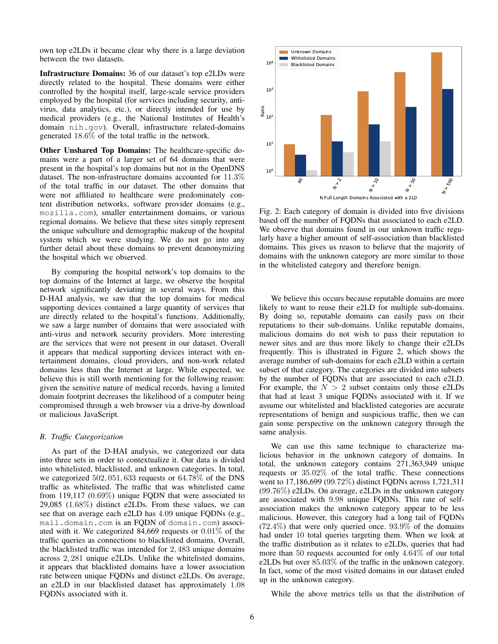own top e2LDs it became clear why there is a large deviation between the two datasets.

Infrastructure Domains: 36 of our dataset's top e2LDs were directly related to the hospital. These domains were either controlled by the hospital itself, large-scale service providers employed by the hospital (for services including security, antivirus, data analytics, etc.), or directly intended for use by medical providers (e.g., the National Institutes of Health's domain nih.gov). Overall, infrastructure related-domains generated 18.6% of the total traffic in the network.

Other Unshared Top Domains: The healthcare-specific domains were a part of a larger set of 64 domains that were present in the hospital's top domains but not in the OpenDNS dataset. The non-infrastructure domains accounted for 11.3% of the total traffic in our dataset. The other domains that were not affiliated to healthcare were predominately content distribution networks, software provider domains (e.g., mozilla.com), smaller entertainment domains, or various regional domains. We believe that these sites simply represent the unique subculture and demographic makeup of the hospital system which we were studying. We do not go into any further detail about these domains to prevent deanonymizing the hospital which we observed.

By comparing the hospital network's top domains to the top domains of the Internet at large, we observe the hospital network significantly deviating in several ways. From this D-HAI analysis, we saw that the top domains for medical supporting devices contained a large quantity of services that are directly related to the hospital's functions. Additionally, we saw a large number of domains that were associated with anti-virus and network security providers. More interesting are the services that were not present in our dataset. Overall it appears that medical supporting devices interact with entertainment domains, cloud providers, and non-work related domains less than the Internet at large. While expected, we believe this is still worth mentioning for the following reason: given the sensitive nature of medical records, having a limited domain footprint decreases the likelihood of a computer being compromised through a web browser via a drive-by download or malicious JavaScript.

## *B. Traffic Categorization*

As part of the D-HAI analysis, we categorized our data into three sets in order to contextualize it. Our data is divided into whitelisted, blacklisted, and unknown categories. In total, we categorized 502, 051, 633 requests or 64.78% of the DNS traffic as whitelisted. The traffic that was whitelisted came from 119,117 (0.69%) unique FQDN that were associated to 29,085 (1.68%) distinct e2LDs. From these values, we can see that on average each e2LD has 4.09 unique FQDNs (e.g., mail.domain.com is an FQDN of domain.com) associated with it. We categorized 84,669 requests or 0.01% of the traffic queries as connections to blacklisted domains. Overall, the blacklisted traffic was intended for 2, 483 unique domains across 2, 281 unique e2LDs. Unlike the whitelisted domains, it appears that blacklisted domains have a lower association rate between unique FQDNs and distinct e2LDs. On average, an e2LD in our blacklisted dataset has approximately 1.08 FQDNs associated with it.



Fig. 2: Each category of domain is divided into five divisions based off the number of FQDNs that associated to each e2LD. We observe that domains found in our unknown traffic regularly have a higher amount of self-association than blacklisted domains. This gives us reason to believe that the majority of domains with the unknown category are more similar to those in the whitelisted category and therefore benign.

We believe this occurs because reputable domains are more likely to want to reuse their e2LD for multiple sub-domains. By doing so, reputable domains can easily pass on their reputations to their sub-domains. Unlike reputable domains, malicious domains do not wish to pass their reputation to newer sites and are thus more likely to change their e2LDs frequently. This is illustrated in Figure 2, which shows the average number of sub-domains for each e2LD within a certain subset of that category. The categories are divided into subsets by the number of FQDNs that are associated to each e2LD. For example, the  $N > 2$  subset contains only those e2LDs that had at least 3 unique FQDNs associated with it. If we assume our whitelisted and blacklisted categories are accurate representations of benign and suspicious traffic, then we can gain some perspective on the unknown category through the same analysis.

We can use this same technique to characterize malicious behavior in the unknown category of domains. In total, the unknown category contains 271,363,949 unique requests or 35.02% of the total traffic. These connections went to 17,186,699 (99.72%) distinct FQDNs across 1,721,311 (99.76%) e2LDs. On average, e2LDs in the unknown category are associated with 9.98 unique FQDNs. This rate of selfassociation makes the unknown category appear to be less malicious. However, this category had a long tail of FQDNs  $(72.4\%)$  that were only queried once.  $93.9\%$  of the domains had under 10 total queries targeting them. When we look at the traffic distribution as it relates to e2LDs, queries that had more than 50 requests accounted for only 4.64% of our total e2LDs but over 85.03% of the traffic in the unknown category. In fact, some of the most visited domains in our dataset ended up in the unknown category.

While the above metrics tells us that the distribution of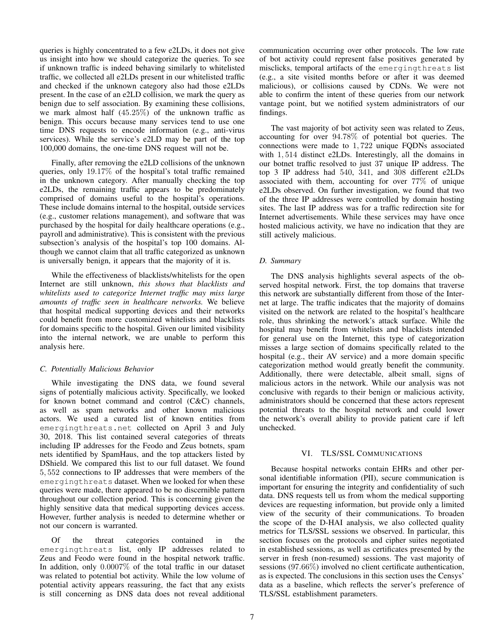queries is highly concentrated to a few e2LDs, it does not give us insight into how we should categorize the queries. To see if unknown traffic is indeed behaving similarly to whitelisted traffic, we collected all e2LDs present in our whitelisted traffic and checked if the unknown category also had those e2LDs present. In the case of an e2LD collision, we mark the query as benign due to self association. By examining these collisions, we mark almost half (45.25%) of the unknown traffic as benign. This occurs because many services tend to use one time DNS requests to encode information (e.g., anti-virus services). While the service's e2LD may be part of the top 100,000 domains, the one-time DNS request will not be.

Finally, after removing the e2LD collisions of the unknown queries, only 19.17% of the hospital's total traffic remained in the unknown category. After manually checking the top e2LDs, the remaining traffic appears to be predominately comprised of domains useful to the hospital's operations. These include domains internal to the hospital, outside services (e.g., customer relations management), and software that was purchased by the hospital for daily healthcare operations (e.g., payroll and administrative). This is consistent with the previous subsection's analysis of the hospital's top 100 domains. Although we cannot claim that all traffic categorized as unknown is universally benign, it appears that the majority of it is.

While the effectiveness of blacklists/whitelists for the open Internet are still unknown, *this shows that blacklists and whitelists used to categorize Internet traffic may miss large amounts of traffic seen in healthcare networks.* We believe that hospital medical supporting devices and their networks could benefit from more customized whitelists and blacklists for domains specific to the hospital. Given our limited visibility into the internal network, we are unable to perform this analysis here.

# *C. Potentially Malicious Behavior*

While investigating the DNS data, we found several signs of potentially malicious activity. Specifically, we looked for known botnet command and control (C&C) channels, as well as spam networks and other known malicious actors. We used a curated list of known entities from emergingthreats.net collected on April 3 and July 30, 2018. This list contained several categories of threats including IP addresses for the Feodo and Zeus botnets, spam nets identified by SpamHaus, and the top attackers listed by DShield. We compared this list to our full dataset. We found 5, 552 connections to IP addresses that were members of the emergingthreats dataset. When we looked for when these queries were made, there appeared to be no discernible pattern throughout our collection period. This is concerning given the highly sensitive data that medical supporting devices access. However, further analysis is needed to determine whether or not our concern is warranted.

Of the threat categories contained in the emergingthreats list, only IP addresses related to Zeus and Feodo were found in the hospital network traffic. In addition, only 0.0007% of the total traffic in our dataset was related to potential bot activity. While the low volume of potential activity appears reassuring, the fact that any exists is still concerning as DNS data does not reveal additional communication occurring over other protocols. The low rate of bot activity could represent false positives generated by misclicks, temporal artifacts of the emergingthreats list (e.g., a site visited months before or after it was deemed malicious), or collisions caused by CDNs. We were not able to confirm the intent of these queries from our network vantage point, but we notified system administrators of our findings.

The vast majority of bot activity seen was related to Zeus, accounting for over 94.78% of potential bot queries. The connections were made to 1, 722 unique FQDNs associated with 1, 514 distinct e2LDs. Interestingly, all the domains in our botnet traffic resolved to just 37 unique IP address. The top 3 IP address had 540, 341, and 308 different e2LDs associated with them, accounting for over 77% of unique e2LDs observed. On further investigation, we found that two of the three IP addresses were controlled by domain hosting sites. The last IP address was for a traffic redirection site for Internet advertisements. While these services may have once hosted malicious activity, we have no indication that they are still actively malicious.

# *D. Summary*

The DNS analysis highlights several aspects of the observed hospital network. First, the top domains that traverse this network are substantially different from those of the Internet at large. The traffic indicates that the majority of domains visited on the network are related to the hospital's healthcare role, thus shrinking the network's attack surface. While the hospital may benefit from whitelists and blacklists intended for general use on the Internet, this type of categorization misses a large section of domains specifically related to the hospital (e.g., their AV service) and a more domain specific categorization method would greatly benefit the community. Additionally, there were detectable, albeit small, signs of malicious actors in the network. While our analysis was not conclusive with regards to their benign or malicious activity, administrators should be concerned that these actors represent potential threats to the hospital network and could lower the network's overall ability to provide patient care if left unchecked.

## VI. TLS/SSL COMMUNICATIONS

Because hospital networks contain EHRs and other personal identifiable information (PII), secure communication is important for ensuring the integrity and confidentiality of such data. DNS requests tell us from whom the medical supporting devices are requesting information, but provide only a limited view of the security of their communications. To broaden the scope of the D-HAI analysis, we also collected quality metrics for TLS/SSL sessions we observed. In particular, this section focuses on the protocols and cipher suites negotiated in established sessions, as well as certificates presented by the server in fresh (non-resumed) sessions. The vast majority of sessions (97.66%) involved no client certificate authentication, as is expected. The conclusions in this section uses the Censys' data as a baseline, which reflects the server's preference of TLS/SSL establishment parameters.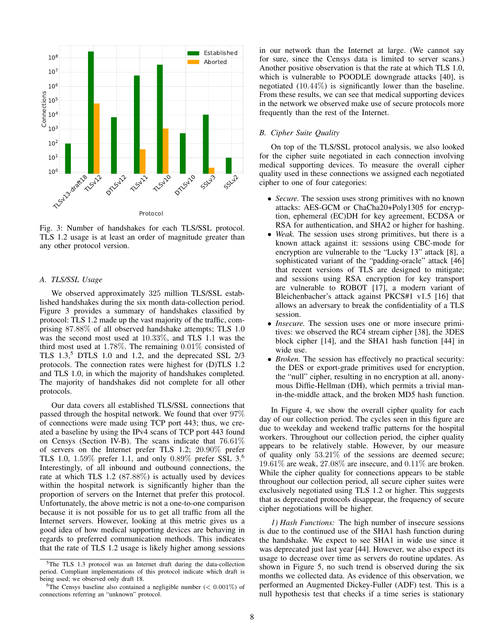

Fig. 3: Number of handshakes for each TLS/SSL protocol. TLS 1.2 usage is at least an order of magnitude greater than any other protocol version.

#### *A. TLS/SSL Usage*

We observed approximately 325 million TLS/SSL established handshakes during the six month data-collection period. Figure 3 provides a summary of handshakes classified by protocol: TLS 1.2 made up the vast majority of the traffic, comprising 87.88% of all observed handshake attempts; TLS 1.0 was the second most used at 10.33%, and TLS 1.1 was the third most used at 1.78%. The remaining 0.01% consisted of TLS  $1.3$ ,<sup>5</sup> DTLS  $1.0$  and  $1.2$ , and the deprecated SSL  $2/3$ protocols. The connection rates were highest for (D)TLS 1.2 and TLS 1.0, in which the majority of handshakes completed. The majority of handshakes did not complete for all other protocols.

Our data covers all established TLS/SSL connections that passed through the hospital network. We found that over 97% of connections were made using TCP port 443; thus, we created a baseline by using the IPv4 scans of TCP port 443 found on Censys (Section IV-B). The scans indicate that 76.61% of servers on the Internet prefer TLS 1.2; 20.90% prefer TLS 1.0,  $1.59\%$  prefer 1.1, and only 0.89% prefer SSL 3.<sup>6</sup> Interestingly, of all inbound and outbound connections, the rate at which TLS 1.2 (87.88%) is actually used by devices within the hospital network is significantly higher than the proportion of servers on the Internet that prefer this protocol. Unfortunately, the above metric is not a one-to-one comparison because it is not possible for us to get all traffic from all the Internet servers. However, looking at this metric gives us a good idea of how medical supporting devices are behaving in regards to preferred communication methods. This indicates that the rate of TLS 1.2 usage is likely higher among sessions in our network than the Internet at large. (We cannot say for sure, since the Censys data is limited to server scans.) Another positive observation is that the rate at which TLS 1.0, which is vulnerable to POODLE downgrade attacks [40], is negotiated (10.44%) is significantly lower than the baseline. From these results, we can see that medical supporting devices in the network we observed make use of secure protocols more frequently than the rest of the Internet.

# *B. Cipher Suite Quality*

On top of the TLS/SSL protocol analysis, we also looked for the cipher suite negotiated in each connection involving medical supporting devices. To measure the overall cipher quality used in these connections we assigned each negotiated cipher to one of four categories:

- *Secure.* The session uses strong primitives with no known attacks: AES-GCM or ChaCha20+Poly1305 for encryption, ephemeral (EC)DH for key agreement, ECDSA or RSA for authentication, and SHA2 or higher for hashing.
- *Weak.* The session uses strong primitives, but there is a known attack against it: sessions using CBC-mode for encryption are vulnerable to the "Lucky 13" attack [8], a sophisticated variant of the "padding-oracle" attack [46] that recent versions of TLS are designed to mitigate; and sessions using RSA encryption for key transport are vulnerable to ROBOT [17], a modern variant of Bleichenbacher's attack against PKCS#1 v1.5 [16] that allows an adversary to break the confidentiality of a TLS session.
- *Insecure*. The session uses one or more insecure primitives: we observed the RC4 stream cipher [38], the 3DES block cipher [14], and the SHA1 hash function [44] in wide use.
- *Broken.* The session has effectively no practical security: the DES or export-grade primitives used for encryption, the "null" cipher, resulting in no encryption at all, anonymous Diffie-Hellman (DH), which permits a trivial manin-the-middle attack, and the broken MD5 hash function.

In Figure 4, we show the overall cipher quality for each day of our collection period. The cycles seen in this figure are due to weekday and weekend traffic patterns for the hospital workers. Throughout our collection period, the cipher quality appears to be relatively stable. However, by our measure of quality only 53.21% of the sessions are deemed secure; 19.61% are weak, 27.08% are insecure, and 0.11% are broken. While the cipher quality for connections appears to be stable throughout our collection period, all secure cipher suites were exclusively negotiated using TLS 1.2 or higher. This suggests that as deprecated protocols disappear, the frequency of secure cipher negotiations will be higher.

*1) Hash Functions:* The high number of insecure sessions is due to the continued use of the SHA1 hash function during the handshake. We expect to see SHA1 in wide use since it was deprecated just last year [44]. However, we also expect its usage to decrease over time as servers do routine updates. As shown in Figure 5, no such trend is observed during the six months we collected data. As evidence of this observation, we performed an Augmented Dickey-Fuller (ADF) test. This is a null hypothesis test that checks if a time series is stationary

<sup>&</sup>lt;sup>5</sup>The TLS 1.3 protocol was an Internet draft during the data-collection period. Compliant implementations of this protocol indicate which draft is being used; we observed only draft 18.

<sup>&</sup>lt;sup>6</sup>The Censys baseline also contained a negligible number ( $< 0.001\%$ ) of connections referring an "unknown" protocol.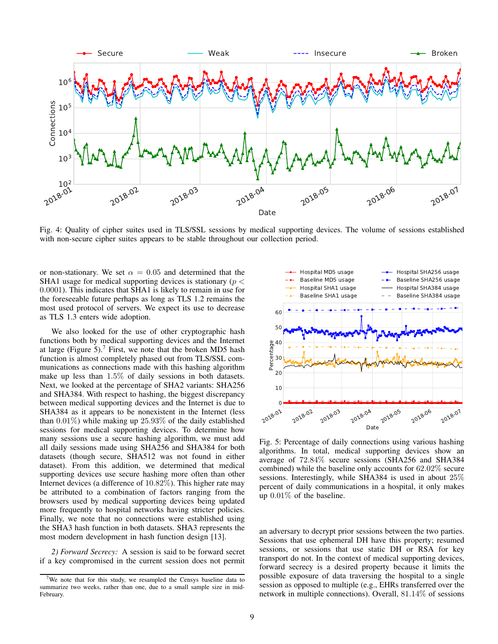

Fig. 4: Quality of cipher suites used in TLS/SSL sessions by medical supporting devices. The volume of sessions established with non-secure cipher suites appears to be stable throughout our collection period.

or non-stationary. We set  $\alpha = 0.05$  and determined that the SHA1 usage for medical supporting devices is stationary ( $p <$ 0.0001). This indicates that SHA1 is likely to remain in use for the foreseeable future perhaps as long as TLS 1.2 remains the most used protocol of servers. We expect its use to decrease as TLS 1.3 enters wide adoption.

We also looked for the use of other cryptographic hash functions both by medical supporting devices and the Internet at large (Figure 5).<sup>7</sup> First, we note that the broken MD5 hash function is almost completely phased out from TLS/SSL communications as connections made with this hashing algorithm make up less than 1.5% of daily sessions in both datasets. Next, we looked at the percentage of SHA2 variants: SHA256 and SHA384. With respect to hashing, the biggest discrepancy between medical supporting devices and the Internet is due to SHA384 as it appears to be nonexistent in the Internet (less than 0.01%) while making up 25.93% of the daily established sessions for medical supporting devices. To determine how many sessions use a secure hashing algorithm, we must add all daily sessions made using SHA256 and SHA384 for both datasets (though secure, SHA512 was not found in either dataset). From this addition, we determined that medical supporting devices use secure hashing more often than other Internet devices (a difference of 10.82%). This higher rate may be attributed to a combination of factors ranging from the browsers used by medical supporting devices being updated more frequently to hospital networks having stricter policies. Finally, we note that no connections were established using the SHA3 hash function in both datasets. SHA3 represents the most modern development in hash function design [13]. SHA384 as it appears to be nonexistent in the Internet (less<br>
than 0.01%) while making up 25.93% of the daily established<br>
sessions for medical supporting devices. To determine how<br>
many sessions use a secure hashing algo

*2) Forward Secrecy:* A session is said to be forward secret if a key compromised in the current session does not permit



Fig. 5: Percentage of daily connections using various hashing algorithms. In total, medical supporting devices show an average of 72.84% secure sessions (SHA256 and SHA384 combined) while the baseline only accounts for 62.02% secure sessions. Interestingly, while SHA384 is used in about 25% percent of daily communications in a hospital, it only makes up 0.01% of the baseline.

an adversary to decrypt prior sessions between the two parties. Sessions that use ephemeral DH have this property; resumed sessions, or sessions that use static DH or RSA for key transport do not. In the context of medical supporting devices, forward secrecy is a desired property because it limits the possible exposure of data traversing the hospital to a single session as opposed to multiple (e.g., EHRs transferred over the network in multiple connections). Overall, 81.14% of sessions

<sup>&</sup>lt;sup>7</sup>We note that for this study, we resampled the Censys baseline data to summarize two weeks, rather than one, due to a small sample size in mid-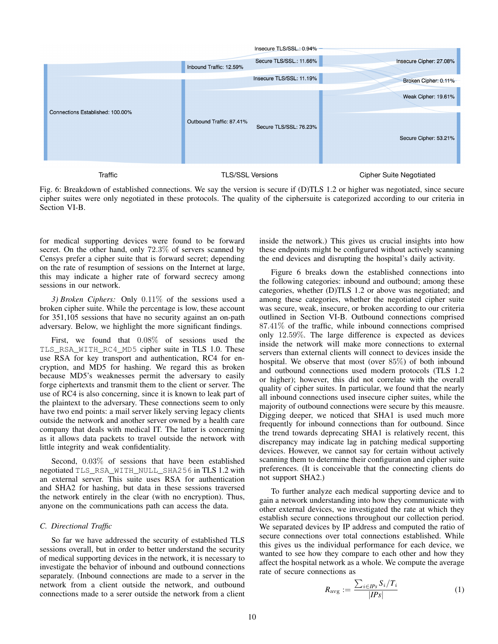

Fig. 6: Breakdown of established connections. We say the version is secure if (D)TLS 1.2 or higher was negotiated, since secure cipher suites were only negotiated in these protocols. The quality of the ciphersuite is categorized according to our criteria in Section VI-B.

for medical supporting devices were found to be forward secret. On the other hand, only 72.3% of servers scanned by Censys prefer a cipher suite that is forward secret; depending on the rate of resumption of sessions on the Internet at large, this may indicate a higher rate of forward secrecy among sessions in our network.

*3) Broken Ciphers:* Only 0.11% of the sessions used a broken cipher suite. While the percentage is low, these account for 351,105 sessions that have no security against an on-path adversary. Below, we highlight the more significant findings.

First, we found that 0.08% of sessions used the TLS\_RSA\_WITH\_RC4\_MD5 cipher suite in TLS 1.0. These use RSA for key transport and authentication, RC4 for encryption, and MD5 for hashing. We regard this as broken because MD5's weaknesses permit the adversary to easily forge ciphertexts and transmit them to the client or server. The use of RC4 is also concerning, since it is known to leak part of the plaintext to the adversary. These connections seem to only have two end points: a mail server likely serving legacy clients outside the network and another server owned by a health care company that deals with medical IT. The latter is concerning as it allows data packets to travel outside the network with little integrity and weak confidentiality.

Second, 0.03% of sessions that have been established negotiated TLS\_RSA\_WITH\_NULL\_SHA256 in TLS 1.2 with an external server. This suite uses RSA for authentication and SHA2 for hashing, but data in these sessions traversed the network entirely in the clear (with no encryption). Thus, anyone on the communications path can access the data.

## *C. Directional Traffic*

So far we have addressed the security of established TLS sessions overall, but in order to better understand the security of medical supporting devices in the network, it is necessary to investigate the behavior of inbound and outbound connections separately. (Inbound connections are made to a server in the network from a client outside the network, and outbound connections made to a serer outside the network from a client inside the network.) This gives us crucial insights into how these endpoints might be configured without actively scanning the end devices and disrupting the hospital's daily activity.

Figure 6 breaks down the established connections into the following categories: inbound and outbound; among these categories, whether (D)TLS 1.2 or above was negotiated; and among these categories, whether the negotiated cipher suite was secure, weak, insecure, or broken according to our criteria outlined in Section VI-B. Outbound connections comprised 87.41% of the traffic, while inbound connections comprised only 12.59%. The large difference is expected as devices inside the network will make more connections to external servers than external clients will connect to devices inside the hospital. We observe that most (over 85%) of both inbound and outbound connections used modern protocols (TLS 1.2 or higher); however, this did not correlate with the overall quality of cipher suites. In particular, we found that the nearly all inbound connections used insecure cipher suites, while the majority of outbound connections were secure by this meausre. Digging deeper, we noticed that SHA1 is used much more frequently for inbound connections than for outbound. Since the trend towards deprecating SHA1 is relatively recent, this discrepancy may indicate lag in patching medical supporting devices. However, we cannot say for certain without actively scanning them to determine their configuration and cipher suite preferences. (It is conceivable that the connecting clients do not support SHA2.)

To further analyze each medical supporting device and to gain a network understanding into how they communicate with other external devices, we investigated the rate at which they establish secure connections throughout our collection period. We separated devices by IP address and computed the ratio of secure connections over total connections established. While this gives us the individual performance for each device, we wanted to see how they compare to each other and how they affect the hospital network as a whole. We compute the average rate of secure connections as

$$
R_{\text{avg}} := \frac{\sum_{i \in \text{IPs}} S_i / T_i}{| \text{IPs} |} \tag{1}
$$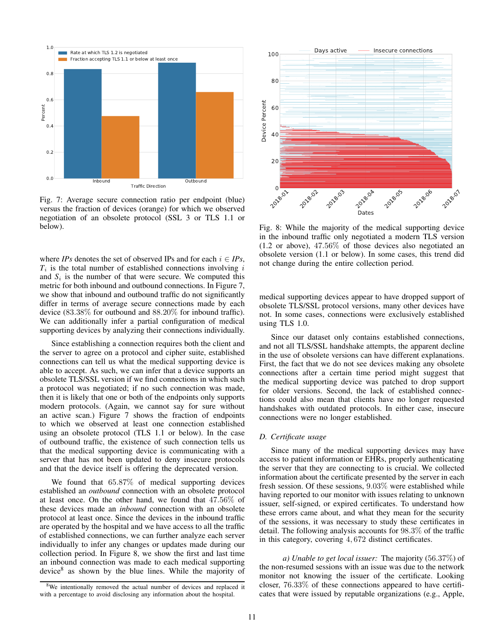

Fig. 7: Average secure connection ratio per endpoint (blue) versus the fraction of devices (orange) for which we observed negotiation of an obsolete protocol (SSL 3 or TLS 1.1 or below).

where *IPs* denotes the set of observed IPs and for each  $i \in IPs$ ,  $T_i$  is the total number of established connections involving  $i$ and  $S_i$  is the number of that were secure. We computed this metric for both inbound and outbound connections. In Figure 7, we show that inbound and outbound traffic do not significantly differ in terms of average secure connections made by each device (83.38% for outbound and 88.20% for inbound traffic). We can additionally infer a partial configuration of medical supporting devices by analyzing their connections individually.

Since establishing a connection requires both the client and the server to agree on a protocol and cipher suite, established connections can tell us what the medical supporting device is able to accept. As such, we can infer that a device supports an obsolete TLS/SSL version if we find connections in which such a protocol was negotiated; if no such connection was made, then it is likely that one or both of the endpoints only supports modern protocols. (Again, we cannot say for sure without an active scan.) Figure 7 shows the fraction of endpoints to which we observed at least one connection established using an obsolete protocol (TLS 1.1 or below). In the case of outbound traffic, the existence of such connection tells us that the medical supporting device is communicating with a server that has not been updated to deny insecure protocols and that the device itself is offering the deprecated version. Fig. 7: Average secure connection ratio per endpoint (blue)<br>reresus the fraction of devices (orange) for which we observed<br>megotiation of an obsolete protocol (SSL 3 or TLS 1.1 or<br>fig. 8: When  $\ell P_S$  denotes the set of ob

We found that 65.87% of medical supporting devices established an *outbound* connection with an obsolete protocol at least once. On the other hand, we found that 47.56% of these devices made an *inbound* connection with an obsolete protocol at least once. Since the devices in the inbound traffic are operated by the hospital and we have access to all the traffic of established connections, we can further analyze each server individually to infer any changes or updates made during our collection period. In Figure 8, we show the first and last time an inbound connection was made to each medical supporting device<sup>8</sup> as shown by the blue lines. While the majority of



Fig. 8: While the majority of the medical supporting device in the inbound traffic only negotiated a modern TLS version (1.2 or above), 47.56% of those devices also negotiated an obsolete version (1.1 or below). In some cases, this trend did not change during the entire collection period.

medical supporting devices appear to have dropped support of obsolete TLS/SSL protocol versions, many other devices have not. In some cases, connections were exclusively established using TLS 1.0.

Since our dataset only contains established connections, and not all TLS/SSL handshake attempts, the apparent decline in the use of obsolete versions can have different explanations. First, the fact that we do not see devices making any obsolete connections after a certain time period might suggest that the medical supporting device was patched to drop support for older versions. Second, the lack of established connections could also mean that clients have no longer requested handshakes with outdated protocols. In either case, insecure connections were no longer established.

## *D. Certificate usage*

Since many of the medical supporting devices may have access to patient information or EHRs, properly authenticating the server that they are connecting to is crucial. We collected information about the certificate presented by the server in each fresh session. Of these sessions, 9.03% were established while having reported to our monitor with issues relating to unknown issuer, self-signed, or expired certificates. To understand how these errors came about, and what they mean for the security of the sessions, it was necessary to study these certificates in detail. The following analysis accounts for 98.3% of the traffic in this category, covering 4, 672 distinct certificates.

*a) Unable to get local issuer:* The majority (56.37%) of the non-resumed sessions with an issue was due to the network monitor not knowing the issuer of the certificate. Looking closer, 76.33% of these connections appeared to have certificates that were issued by reputable organizations (e.g., Apple,

<sup>&</sup>lt;sup>8</sup>We intentionally removed the actual number of devices and replaced it with a percentage to avoid disclosing any information about the hospital.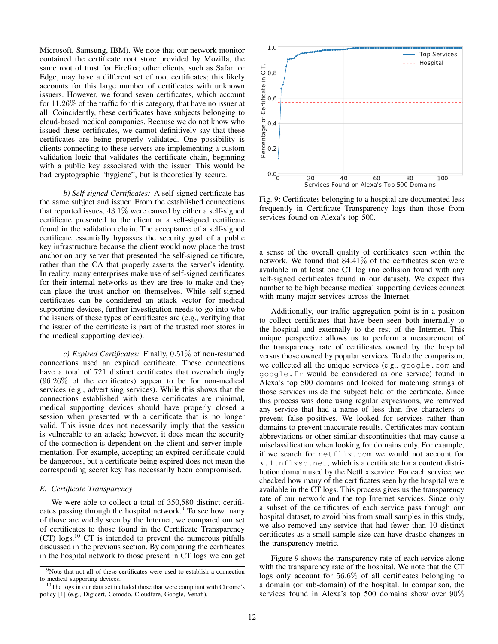Microsoft, Samsung, IBM). We note that our network monitor contained the certificate root store provided by Mozilla, the same root of trust for Firefox; other clients, such as Safari or Edge, may have a different set of root certificates; this likely accounts for this large number of certificates with unknown issuers. However, we found seven certificates, which account for 11.26% of the traffic for this category, that have no issuer at all. Coincidently, these certificates have subjects belonging to cloud-based medical companies. Because we do not know who issued these certificates, we cannot definitively say that these certificates are being properly validated. One possibility is clients connecting to these servers are implementing a custom validation logic that validates the certificate chain, beginning with a public key associated with the issuer. This would be bad cryptographic "hygiene", but is theoretically secure.

*b) Self-signed Certificates:* A self-signed certificate has the same subject and issuer. From the established connections that reported issues, 43.1% were caused by either a self-signed certificate presented to the client or a self-signed certificate found in the validation chain. The acceptance of a self-signed certificate essentially bypasses the security goal of a public key infrastructure because the client would now place the trust anchor on any server that presented the self-signed certificate, rather than the CA that properly asserts the server's identity. In reality, many enterprises make use of self-signed certificates for their internal networks as they are free to make and they can place the trust anchor on themselves. While self-signed certificates can be considered an attack vector for medical supporting devices, further investigation needs to go into who the issuers of these types of certificates are (e.g., verifying that the issuer of the certificate is part of the trusted root stores in the medical supporting device).

*c) Expired Certificates:* Finally, 0.51% of non-resumed connections used an expired certificate. These connections have a total of 721 distinct certificates that overwhelmingly  $(96.26\%$  of the certificates) appear to be for non-medical services (e.g., advertising services). While this shows that the connections established with these certificates are minimal, medical supporting devices should have properly closed a session when presented with a certificate that is no longer valid. This issue does not necessarily imply that the session is vulnerable to an attack; however, it does mean the security of the connection is dependent on the client and server implementation. For example, accepting an expired certificate could be dangerous, but a certificate being expired does not mean the corresponding secret key has necessarily been compromised.

#### *E. Certificate Transparency*

We were able to collect a total of 350,580 distinct certificates passing through the hospital network.<sup>9</sup> To see how many of those are widely seen by the Internet, we compared our set of certificates to those found in the Certificate Transparency (CT) logs.<sup>10</sup> CT is intended to prevent the numerous pitfalls discussed in the previous section. By comparing the certificates in the hospital network to those present in CT logs we can get



Fig. 9: Certificates belonging to a hospital are documented less frequently in Certificate Transparency logs than those from services found on Alexa's top 500.

a sense of the overall quality of certificates seen within the network. We found that 84.41% of the certificates seen were available in at least one CT log (no collision found with any self-signed certificates found in our dataset). We expect this number to be high because medical supporting devices connect with many major services across the Internet.

point in general control of the comodo state. The second of the second in the second of the second in the second in the second in the second in the second in the second in the second in the second in the second in the sec Additionally, our traffic aggregation point is in a position to collect certificates that have been seen both internally to the hospital and externally to the rest of the Internet. This unique perspective allows us to perform a measurement of the transparency rate of certificates owned by the hospital versus those owned by popular services. To do the comparison, we collected all the unique services (e.g., google.com and google.fr would be considered as one service) found in Alexa's top 500 domains and looked for matching strings of those services inside the subject field of the certificate. Since this process was done using regular expressions, we removed any service that had a name of less than five characters to prevent false positives. We looked for services rather than domains to prevent inaccurate results. Certificates may contain abbreviations or other similar discontinuities that may cause a misclassification when looking for domains only. For example, if we search for netflix.com we would not account for \*.1.nflxso.net, which is a certificate for a content distribution domain used by the Netflix service. For each service, we checked how many of the certificates seen by the hospital were available in the CT logs. This process gives us the transparency rate of our network and the top Internet services. Since only a subset of the certificates of each service pass through our hospital dataset, to avoid bias from small samples in this study, we also removed any service that had fewer than 10 distinct certificates as a small sample size can have drastic changes in the transparency metric.

Figure 9 shows the transparency rate of each service along with the transparency rate of the hospital. We note that the CT logs only account for 56.6% of all certificates belonging to a domain (or sub-domain) of the hospital. In comparison, the services found in Alexa's top 500 domains show over 90%

 $9^9$ Note that not all of these certificates were used to establish a connection to medical supporting devices.

 $10$ The logs in our data set included those that were compliant with Chrome's policy [1] (e.g., Digicert, Comodo, Cloudfare, Google, Venafi).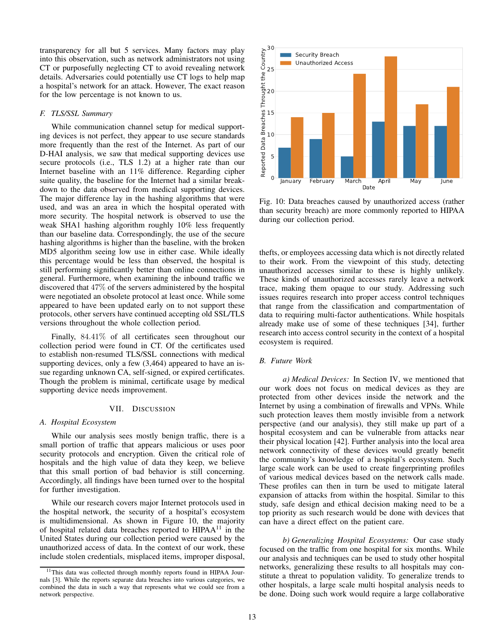transparency for all but 5 services. Many factors may play into this observation, such as network administrators not using CT or purposefully neglecting CT to avoid revealing network details. Adversaries could potentially use CT logs to help map a hospital's network for an attack. However, The exact reason for the low percentage is not known to us.

#### *F. TLS/SSL Summary*

While communication channel setup for medical supporting devices is not perfect, they appear to use secure standards more frequently than the rest of the Internet. As part of our D-HAI analysis, we saw that medical supporting devices use secure protocols (i.e., TLS 1.2) at a higher rate than our Internet baseline with an 11% difference. Regarding cipher suite quality, the baseline for the Internet had a similar breakdown to the data observed from medical supporting devices. The major difference lay in the hashing algorithms that were used, and was an area in which the hospital operated with more security. The hospital network is observed to use the weak SHA1 hashing algorithm roughly 10% less frequently than our baseline data. Correspondingly, the use of the secure hashing algorithms is higher than the baseline, with the broken MD5 algorithm seeing low use in either case. While ideally this percentage would be less than observed, the hospital is still performing significantly better than online connections in general. Furthermore, when examining the inbound traffic we discovered that 47% of the servers administered by the hospital were negotiated an obsolete protocol at least once. While some appeared to have been updated early on to not support these protocols, other servers have continued accepting old SSL/TLS versions throughout the whole collection period.

Finally, 84.41% of all certificates seen throughout our collection period were found in CT. Of the certificates used to establish non-resumed TLS/SSL connections with medical supporting devices, only a few  $(3,464)$  appeared to have an issue regarding unknown CA, self-signed, or expired certificates. Though the problem is minimal, certificate usage by medical supporting device needs improvement.

#### VII. DISCUSSION

#### *A. Hospital Ecosystem*

While our analysis sees mostly benign traffic, there is a small portion of traffic that appears malicious or uses poor security protocols and encryption. Given the critical role of hospitals and the high value of data they keep, we believe that this small portion of bad behavior is still concerning. Accordingly, all findings have been turned over to the hospital for further investigation.

While our research covers major Internet protocols used in the hospital network, the security of a hospital's ecosystem is multidimensional. As shown in Figure 10, the majority of hospital related data breaches reported to  $HIPAA<sup>11</sup>$  in the United States during our collection period were caused by the unauthorized access of data. In the context of our work, these include stolen credentials, misplaced items, improper disposal,



Fig. 10: Data breaches caused by unauthorized access (rather than security breach) are more commonly reported to HIPAA during our collection period.

thefts, or employees accessing data which is not directly related to their work. From the viewpoint of this study, detecting unauthorized accesses similar to these is highly unlikely. These kinds of unauthorized accesses rarely leave a network trace, making them opaque to our study. Addressing such issues requires research into proper access control techniques that range from the classification and compartmentation of data to requiring multi-factor authentications. While hospitals already make use of some of these techniques [34], further research into access control security in the context of a hospital ecosystem is required.

## *B. Future Work*

*a) Medical Devices:* In Section IV, we mentioned that our work does not focus on medical devices as they are protected from other devices inside the network and the Internet by using a combination of firewalls and VPNs. While such protection leaves them mostly invisible from a network perspective (and our analysis), they still make up part of a hospital ecosystem and can be vulnerable from attacks near their physical location [42]. Further analysis into the local area network connectivity of these devices would greatly benefit the community's knowledge of a hospital's ecosystem. Such large scale work can be used to create fingerprinting profiles of various medical devices based on the network calls made. These profiles can then in turn be used to mitigate lateral expansion of attacks from within the hospital. Similar to this study, safe design and ethical decision making need to be a top priority as such research would be done with devices that can have a direct effect on the patient care.

*b) Generalizing Hospital Ecosystems:* Our case study focused on the traffic from one hospital for six months. While our analysis and techniques can be used to study other hospital networks, generalizing these results to all hospitals may constitute a threat to population validity. To generalize trends to other hospitals, a large scale multi hospital analysis needs to be done. Doing such work would require a large collaborative

<sup>&</sup>lt;sup>11</sup>This data was collected through monthly reports found in HIPAA Journals [3]. While the reports separate data breaches into various categories, we combined the data in such a way that represents what we could see from a network perspective.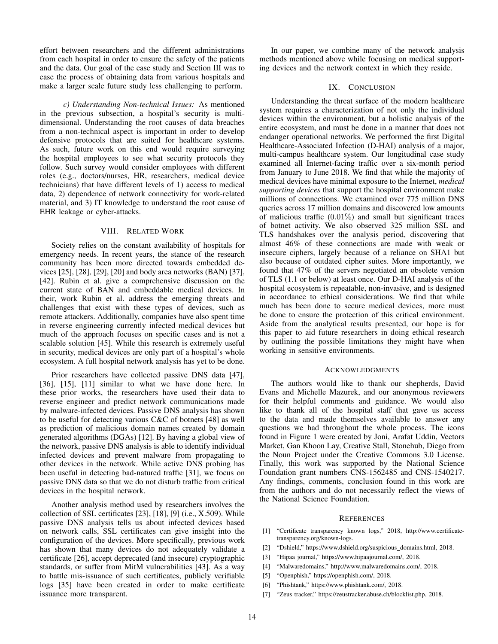effort between researchers and the different administrations from each hospital in order to ensure the safety of the patients and the data. Our goal of the case study and Section III was to ease the process of obtaining data from various hospitals and make a larger scale future study less challenging to perform.

*c) Understanding Non-technical Issues:* As mentioned in the previous subsection, a hospital's security is multidimensional. Understanding the root causes of data breaches from a non-technical aspect is important in order to develop defensive protocols that are suited for healthcare systems. As such, future work on this end would require surveying the hospital employees to see what security protocols they follow. Such survey would consider employees with different roles (e.g., doctors/nurses, HR, researchers, medical device technicians) that have different levels of 1) access to medical data, 2) dependence of network connectivity for work-related material, and 3) IT knowledge to understand the root cause of EHR leakage or cyber-attacks.

# VIII. RELATED WORK

Society relies on the constant availability of hospitals for emergency needs. In recent years, the stance of the research community has been more directed towards embedded devices [25], [28], [29], [20] and body area networks (BAN) [37], [42]. Rubin et al. give a comprehensive discussion on the current state of BAN and embeddable medical devices. In their, work Rubin et al. address the emerging threats and challenges that exist with these types of devices, such as remote attackers. Additionally, companies have also spent time in reverse engineering currently infected medical devices but much of the approach focuses on specific cases and is not a scalable solution [45]. While this research is extremely useful in security, medical devices are only part of a hospital's whole ecosystem. A full hospital network analysis has yet to be done.

Prior researchers have collected passive DNS data [47], [36], [15], [11] similar to what we have done here. In these prior works, the researchers have used their data to reverse engineer and predict network communications made by malware-infected devices. Passive DNS analysis has shown to be useful for detecting various C&C of botnets [48] as well as prediction of malicious domain names created by domain generated algorithms (DGAs) [12]. By having a global view of the network, passive DNS analysis is able to identify individual infected devices and prevent malware from propagating to other devices in the network. While active DNS probing has been useful in detecting bad-natured traffic [31], we focus on passive DNS data so that we do not disturb traffic from critical devices in the hospital network.

Another analysis method used by researchers involves the collection of SSL certificates [23], [18], [9] (i.e., X.509). While passive DNS analysis tells us about infected devices based on network calls, SSL certificates can give insight into the configuration of the devices. More specifically, previous work has shown that many devices do not adequately validate a certificate [26], accept deprecated (and insecure) cryptographic standards, or suffer from MitM vulnerabilities [43]. As a way to battle mis-issuance of such certificates, publicly verifiable logs [35] have been created in order to make certificate issuance more transparent.

In our paper, we combine many of the network analysis methods mentioned above while focusing on medical supporting devices and the network context in which they reside.

## IX. CONCLUSION

Understanding the threat surface of the modern healthcare system requires a characterization of not only the individual devices within the environment, but a holistic analysis of the entire ecosystem, and must be done in a manner that does not endanger operational networks. We performed the first Digital Healthcare-Associated Infection (D-HAI) analysis of a major, multi-campus healthcare system. Our longitudinal case study examined all Internet-facing traffic over a six-month period from January to June 2018. We find that while the majority of medical devices have minimal exposure to the Internet, *medical supporting devices* that support the hospital environment make millions of connections. We examined over 775 million DNS queries across 17 million domains and discovered low amounts of malicious traffic  $(0.01\%)$  and small but significant traces of botnet activity. We also observed 325 million SSL and TLS handshakes over the analysis period, discovering that almost 46% of these connections are made with weak or insecure ciphers, largely because of a reliance on SHA1 but also because of outdated cipher suites. More importantly, we found that 47% of the servers negotiated an obsolete version of TLS (1.1 or below) at least once. Our D-HAI analysis of the hospital ecosystem is repeatable, non-invasive, and is designed in accordance to ethical considerations. We find that while much has been done to secure medical devices, more must be done to ensure the protection of this critical environment. Aside from the analytical results presented, our hope is for this paper to aid future researchers in doing ethical research by outlining the possible limitations they might have when working in sensitive environments.

#### ACKNOWLEDGMENTS

The authors would like to thank our shepherds, David Evans and Michelle Mazurek, and our anonymous reviewers for their helpful comments and guidance. We would also like to thank all of the hospital staff that gave us access to the data and made themselves available to answer any questions we had throughout the whole process. The icons found in Figure 1 were created by Joni, Arafat Uddin, Vectors Market, Gan Khoon Lay, Creative Stall, Stonehub, Diego from the Noun Project under the Creative Commons 3.0 License. Finally, this work was supported by the National Science Foundation grant numbers CNS-1562485 and CNS-1540217. Any findings, comments, conclusion found in this work are from the authors and do not necessarily reflect the views of the National Science Foundation.

#### **REFERENCES**

- [1] "Certificate transparency known logs," 2018, http://www.certificatetransparency.org/known-logs.
- [2] "Dshield," https://www.dshield.org/suspicious\_domains.html, 2018.
- [3] "Hipaa journal," https://www.hipaajournal.com/, 2018.
- [4] "Malwaredomains," http://www.malwaredomains.com/, 2018.
- [5] "Openphish," https://openphish.com/, 2018.
- [6] "Phishtank," https://www.phishtank.com/, 2018.
- [7] "Zeus tracker," https://zeustracker.abuse.ch/blocklist.php, 2018.